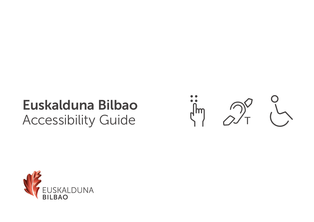### Euskalduna Bilbao Accessibility Guide



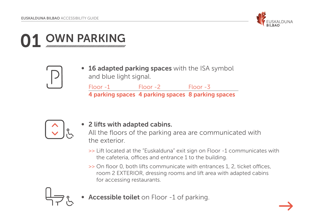

# WN PARKING



• 16 adapted parking spaces with the ISA symbol and blue light signal.

Floor -1 Floor -2 Floor -3 4 parking spaces 4 parking spaces 8 parking spaces



### ● 2 lifts with adapted cabins.

All the floors of the parking area are communicated with the exterior.

- >> Lift located at the "Euskalduna" exit sign on Floor -1 communicates with the cafeteria, offices and entrance 1 to the building.
- >> On floor 0, both lifts communicate with entrances 1, 2, ticket offices, room 2 EXTERIOR, dressing rooms and lift area with adapted cabins for accessing restaurants.



Accessible toilet on Floor -1 of parking.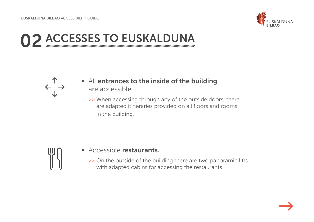

**02 ACCESSES TO EUSKALDUNA** 



- All entrances to the inside of the building are accessible.
	- >> When accessing through any of the outside doors, there are adapted itineraries provided on all floors and rooms in the building.



- Accessible restaurants.
	- >> On the outside of the building there are two panoramic lifts with adapted cabins for accessing the restaurants.

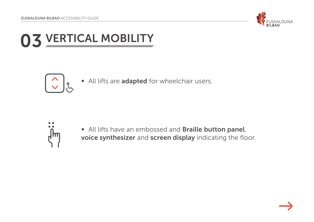

03 VERTICAL MOBILITY



● All lifts are adapted for wheelchair users.



● All lifts have an embossed and Braille button panel, voice synthesizer and screen display indicating the floor.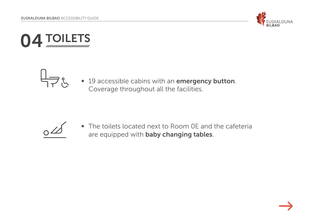





● 19 accessible cabins with an emergency button. Coverage throughout all the facilities.



● The toilets located next to Room 0E and the cafeteria are equipped with **baby changing tables**.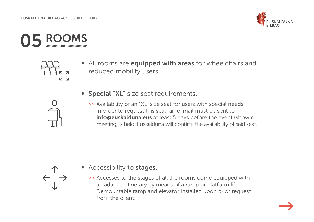





● All rooms are equipped with areas for wheelchairs and reduced mobility users.



- Special "XL" size seat requirements.
	- >> Availability of an "XL" size seat for users with special needs. In order to request this seat, an e-mail must be sent to info@euskalduna.eus at least 5 days before the event (show or meeting) is held. Euskalduna will confirm the availability of said seat.



- Accessibility to **stages**.
	- >> Accesses to the stages of all the rooms come equipped with an adapted itinerary by means of a ramp or platform lift. Demountable ramp and elevator installed upon prior request from the client.

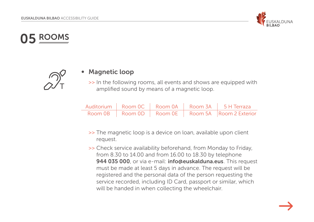

### 05 ROOMS



### ■ Magnetic loop

>> In the following rooms, all events and shows are equipped with amplified sound by means of a magnetic loop.

|  |  | Auditorium   Room 0C   Room 0A   Room 3A   5 H Terraza  |
|--|--|---------------------------------------------------------|
|  |  | Room 0B   Room 0D   Room 0E   Room 5A   Room 2 Exterior |

- >> The magnetic loop is a device on loan, available upon client request.
- >> Check service availability beforehand, from Monday to Friday, from 8.30 to 14.00 and from 16.00 to 18.30 by telephone 944 035 000, or via e-mail: info@euskalduna.eus. This request must be made at least 5 days in advance. The request will be registered and the personal data of the person requesting the service recorded, including ID Card, passport or similar, which will be handed in when collecting the wheelchair.

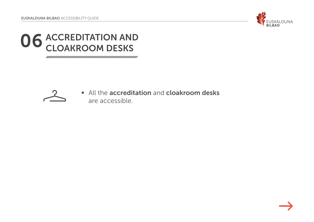

# **06 ACCREDITATION AND CLOAKROOM DESKS**



● All the accreditation and cloakroom desks are accessible.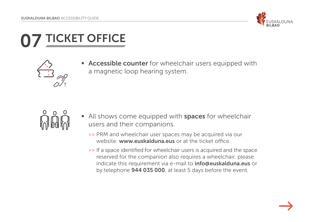

# CKET OFFICE



Accessible counter for wheelchair users equipped with a magnetic loop hearing system.



- All shows come equipped with spaces for wheelchair users and their companions.
	- >> PRM and wheelchair user spaces may be acquired via our website: www.euskalduna.eus or at the ticket office.
	- >> If a space identified for wheelchair users is acquired and the space reserved for the companion also requires a wheelchair, please indicate this requirement via e-mail to **info@euskalduna.eus** or by telephone **944 035 000**, at least 5 days before the event.

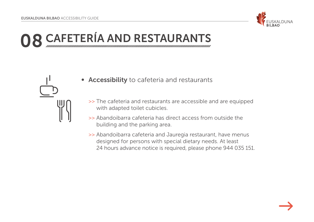

### 08 CAFETERÍA AND RESTAURANTS

- Accessibility to cafeteria and restaurants
	- >> The cafeteria and restaurants are accessible and are equipped with adapted toilet cubicles.
	- >> Abandoibarra cafeteria has direct access from outside the building and the parking area.
	- >> Abandoibarra cafeteria and Jauregia restaurant, have menus designed for persons with special dietary needs. At least 24 hours advance notice is required, please phone 944 035 151.

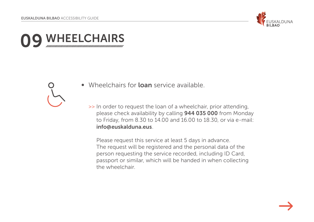

## VHEELCHAIRS

- Wheelchairs for **loan** service available.
	- >> In order to request the loan of a wheelchair, prior attending, please check availability by calling 944 035 000 from Monday to Friday, from 8.30 to 14.00 and 16.00 to 18.30, or via e-mail: info@euskalduna.eus.

Please request this service at least 5 days in advance. The request will be registered and the personal data of the person requesting the service recorded, including ID Card, passport or similar, which will be handed in when collecting the wheelchair.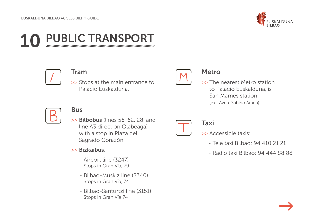

### PUBLIC TRANSPORT



#### Tram

>> Stops at the main entrance to Palacio Euskalduna.



#### Metro

>> The nearest Metro station to Palacio Euskalduna, is San Mamés station (exit Avda. Sabino Arana).



### Bus

>> Bilbobus (lines 56, 62, 28, and line A3 direction Olabeaga) with a stop in Plaza del Sagrado Corazón.

#### >> Bizkaibus:

- Airport line (3247) Stops in Gran Vía, 79
- Bilbao-Muskiz line (3340) Stops in Gran Vía, 74
- Bilbao-Santurtzi line (3151) Stops in Gran Vía 74

### Taxi

- >> Accessible taxis:
	- Tele taxi Bilbao: 94 410 21 21
	- Radio taxi Bilbao: 94 444 88 88